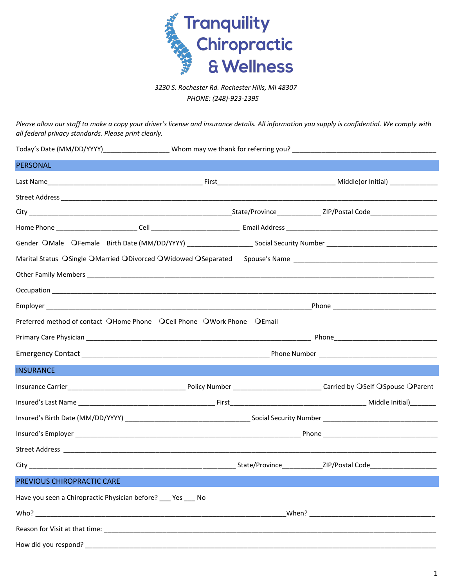

*3230 S. Rochester Rd. Rochester Hills, MI 48307 PHONE: (248)-923-1395* 

*Please allow our staff to make a copy your driver's license and insurance details. All information you supply is confidential. We comply with all federal privacy standards. Please print clearly.*

| <b>PERSONAL</b>            |                                                                        |  |
|----------------------------|------------------------------------------------------------------------|--|
|                            |                                                                        |  |
|                            |                                                                        |  |
|                            |                                                                        |  |
|                            |                                                                        |  |
|                            |                                                                        |  |
|                            | Marital Status OSingle OMarried ODivorced OWidowed OSeparated          |  |
|                            |                                                                        |  |
|                            |                                                                        |  |
|                            |                                                                        |  |
|                            | Preferred method of contact OHome Phone OCell Phone OWork Phone OEmail |  |
|                            |                                                                        |  |
|                            |                                                                        |  |
|                            |                                                                        |  |
| <b>INSURANCE</b>           |                                                                        |  |
|                            |                                                                        |  |
|                            |                                                                        |  |
|                            |                                                                        |  |
|                            |                                                                        |  |
|                            |                                                                        |  |
|                            |                                                                        |  |
| PREVIOUS CHIROPRACTIC CARE |                                                                        |  |
|                            | Have you seen a Chiropractic Physician before? ___ Yes ___ No          |  |
|                            |                                                                        |  |

How did you respond?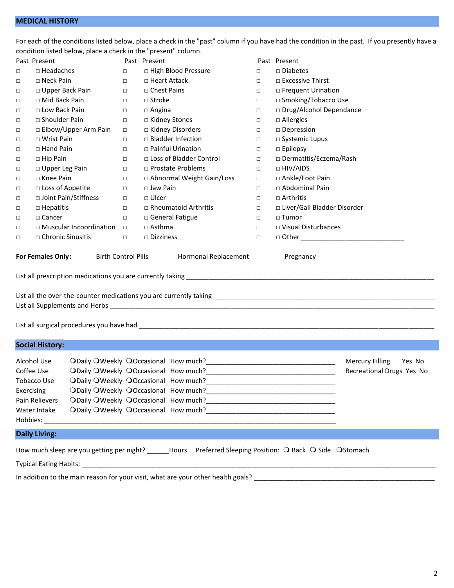|            | condition listed below, place a check in the "present" column.             |        |                                                                                                           |        |                                                               |  |
|------------|----------------------------------------------------------------------------|--------|-----------------------------------------------------------------------------------------------------------|--------|---------------------------------------------------------------|--|
|            | Past Present                                                               |        | Past Present                                                                                              |        | Past Present                                                  |  |
| $\Box$     | $\Box$ Headaches                                                           | $\Box$ | □ High Blood Pressure                                                                                     | $\Box$ | $\Box$ Diabetes                                               |  |
| $\Box$     | $\Box$ Neck Pain                                                           | $\Box$ | □ Heart Attack                                                                                            | $\Box$ | $\Box$ Excessive Thirst                                       |  |
| $\Box$     | $\Box$ Upper Back Pain                                                     | $\Box$ | □ Chest Pains                                                                                             | $\Box$ | □ Frequent Urination                                          |  |
| $\Box$     | □ Mid Back Pain                                                            | $\Box$ | $\Box$ Stroke                                                                                             | $\Box$ | □ Smoking/Tobacco Use                                         |  |
| $\Box$     | □ Low Back Pain                                                            | $\Box$ | $\Box$ Angina                                                                                             | $\Box$ | □ Drug/Alcohol Dependance                                     |  |
| $\Box$     | $\Box$ Shoulder Pain                                                       | $\Box$ | □ Kidney Stones                                                                                           | $\Box$ | $\Box$ Allergies                                              |  |
| $\Box$     | □ Elbow/Upper Arm Pain                                                     | $\Box$ | □ Kidney Disorders                                                                                        | $\Box$ | □ Depression                                                  |  |
| $\Box$     | □ Wrist Pain                                                               | $\Box$ | □ Bladder Infection                                                                                       | $\Box$ | □ Systemic Lupus                                              |  |
| $\Box$     | $\Box$ Hand Pain                                                           | $\Box$ | □ Painful Urination                                                                                       | $\Box$ | $\square$ Epilepsy                                            |  |
| $\Box$     | $\Box$ Hip Pain                                                            | $\Box$ | □ Loss of Bladder Control                                                                                 | $\Box$ | □ Dermatitis/Eczema/Rash                                      |  |
| $\Box$     | □ Upper Leg Pain                                                           | $\Box$ | □ Prostate Problems                                                                                       | $\Box$ | $\Box$ HIV/AIDS                                               |  |
| $\Box$     | □ Knee Pain                                                                | $\Box$ | □ Abnormal Weight Gain/Loss                                                                               | $\Box$ | □ Ankle/Foot Pain                                             |  |
| $\Box$     | □ Loss of Appetite                                                         | $\Box$ | $\Box$ Jaw Pain                                                                                           | $\Box$ | □ Abdominal Pain                                              |  |
| $\Box$     | □ Joint Pain/Stiffness                                                     | $\Box$ | $\square$ Ulcer                                                                                           | $\Box$ | $\Box$ Arthritis                                              |  |
| $\Box$     | $\Box$ Hepatitis                                                           | $\Box$ | $\Box$ Rheumatoid Arthritis                                                                               | $\Box$ | □ Liver/Gall Bladder Disorder                                 |  |
| $\Box$     | $\Box$ Cancer                                                              | $\Box$ | □ General Fatigue                                                                                         | $\Box$ | $\Box$ Tumor                                                  |  |
| $\Box$     | $\Box$ Muscular Incoordination $\Box$                                      |        | $\Box$ Asthma                                                                                             | $\Box$ | □ Visual Disturbances                                         |  |
| $\Box$     | □ Chronic Sinusitis                                                        | $\Box$ | $\Box$ Dizziness                                                                                          | $\Box$ | □ Other ___________________________________                   |  |
|            |                                                                            |        |                                                                                                           |        |                                                               |  |
|            | <b>Social History:</b>                                                     |        |                                                                                                           |        |                                                               |  |
| Exercising | Alcohol Use<br>Coffee Use<br>Tobacco Use<br>Pain Relievers<br>Water Intake |        | ODaily OWeekly OOccasional How much?<br><u> ODaily OWeekly OOccasional How much?</u>                      |        | <b>Mercury Filling</b><br>Yes No<br>Recreational Drugs Yes No |  |
|            | <b>Daily Living:</b>                                                       |        |                                                                                                           |        |                                                               |  |
|            |                                                                            |        | How much sleep are you getting per night? _____Hours Preferred Sleeping Position: Q Back Q Side Q Stomach |        |                                                               |  |
|            |                                                                            |        |                                                                                                           |        |                                                               |  |
|            |                                                                            |        |                                                                                                           |        |                                                               |  |
|            |                                                                            |        |                                                                                                           |        |                                                               |  |

For each of the conditions listed below, place a check in the "past" column if you have had the condition in the past. If you presently have a